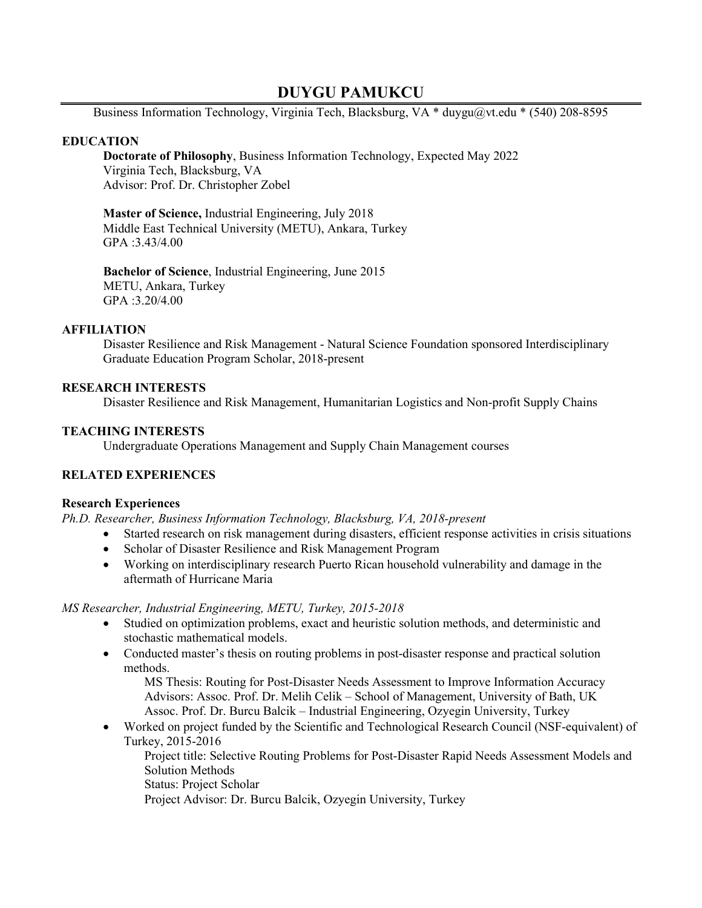# **DUYGU PAMUKCU**

Business Information Technology, Virginia Tech, Blacksburg, VA  $*$  duygu $@vt$ .edu  $*$  (540) 208-8595

# **EDUCATION**

**Doctorate of Philosophy**, Business Information Technology, Expected May 2022 Virginia Tech, Blacksburg, VA Advisor: Prof. Dr. Christopher Zobel

**Master of Science,** Industrial Engineering, July 2018 Middle East Technical University (METU), Ankara, Turkey GPA :3.43/4.00

**Bachelor of Science**, Industrial Engineering, June 2015 METU, Ankara, Turkey GPA :3.20/4.00

### **AFFILIATION**

Disaster Resilience and Risk Management - Natural Science Foundation sponsored Interdisciplinary Graduate Education Program Scholar, 2018-present

# **RESEARCH INTERESTS**

Disaster Resilience and Risk Management, Humanitarian Logistics and Non-profit Supply Chains

# **TEACHING INTERESTS**

Undergraduate Operations Management and Supply Chain Management courses

# **RELATED EXPERIENCES**

### **Research Experiences**

*Ph.D. Researcher, Business Information Technology, Blacksburg, VA, 2018-present*

- Started research on risk management during disasters, efficient response activities in crisis situations
- Scholar of Disaster Resilience and Risk Management Program
- Working on interdisciplinary research Puerto Rican household vulnerability and damage in the aftermath of Hurricane Maria

### *MS Researcher, Industrial Engineering, METU, Turkey, 2015-2018*

- Studied on optimization problems, exact and heuristic solution methods, and deterministic and stochastic mathematical models.
- Conducted master's thesis on routing problems in post-disaster response and practical solution methods.

MS Thesis: Routing for Post-Disaster Needs Assessment to Improve Information Accuracy Advisors: Assoc. Prof. Dr. Melih Celik – School of Management, University of Bath, UK Assoc. Prof. Dr. Burcu Balcik – Industrial Engineering, Ozyegin University, Turkey

• Worked on project funded by the Scientific and Technological Research Council (NSF-equivalent) of Turkey, 2015-2016

Project title: Selective Routing Problems for Post-Disaster Rapid Needs Assessment Models and Solution Methods

Status: Project Scholar

Project Advisor: Dr. Burcu Balcik, Ozyegin University, Turkey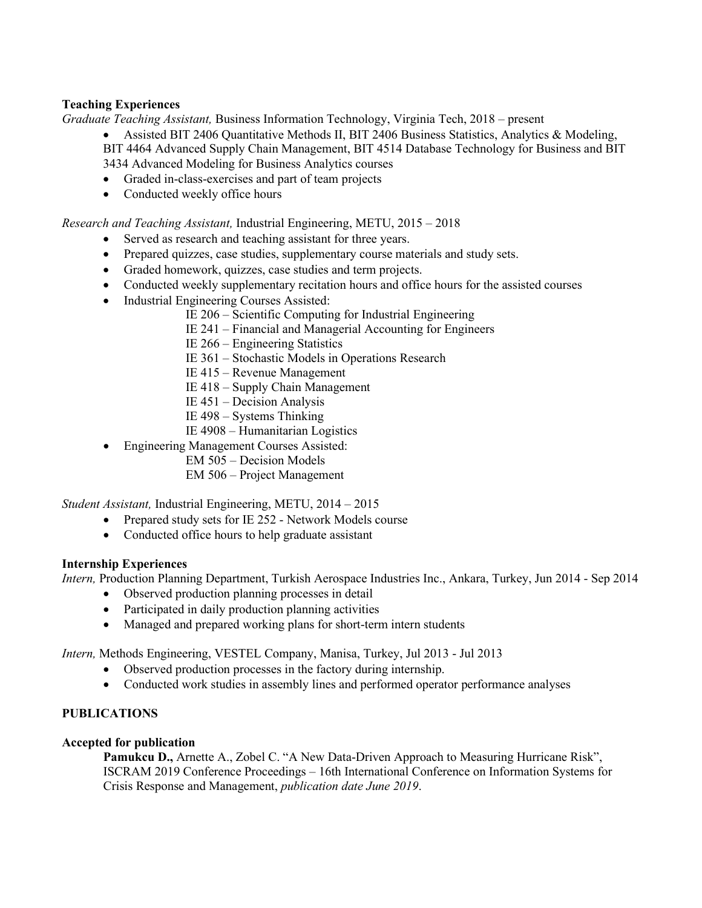# **Teaching Experiences**

*Graduate Teaching Assistant,* Business Information Technology, Virginia Tech, 2018 – present

• Assisted BIT 2406 Quantitative Methods II, BIT 2406 Business Statistics, Analytics & Modeling, BIT 4464 Advanced Supply Chain Management, BIT 4514 Database Technology for Business and BIT 3434 Advanced Modeling for Business Analytics courses

- Graded in-class-exercises and part of team projects
- Conducted weekly office hours

*Research and Teaching Assistant,* Industrial Engineering, METU, 2015 – 2018

- Served as research and teaching assistant for three years.
- Prepared quizzes, case studies, supplementary course materials and study sets.
- Graded homework, quizzes, case studies and term projects.
- Conducted weekly supplementary recitation hours and office hours for the assisted courses
- Industrial Engineering Courses Assisted:
	- IE 206 Scientific Computing for Industrial Engineering
	- IE 241 Financial and Managerial Accounting for Engineers
	- IE 266 Engineering Statistics
	- IE 361 Stochastic Models in Operations Research
	- IE 415 Revenue Management
	- IE 418 Supply Chain Management
	- IE 451 Decision Analysis
	- IE 498 Systems Thinking
	- IE 4908 Humanitarian Logistics
- Engineering Management Courses Assisted:
	- EM 505 Decision Models
	- EM 506 Project Management

*Student Assistant,* Industrial Engineering, METU, 2014 – 2015

- Prepared study sets for IE 252 Network Models course
- Conducted office hours to help graduate assistant

# **Internship Experiences**

*Intern,* Production Planning Department, Turkish Aerospace Industries Inc., Ankara, Turkey, Jun 2014 - Sep 2014

- Observed production planning processes in detail
- Participated in daily production planning activities
- Managed and prepared working plans for short-term intern students

*Intern,* Methods Engineering, VESTEL Company, Manisa, Turkey, Jul 2013 - Jul 2013

- Observed production processes in the factory during internship.
- Conducted work studies in assembly lines and performed operator performance analyses

# **PUBLICATIONS**

### **Accepted for publication**

Pamukcu D., Arnette A., Zobel C. "A New Data-Driven Approach to Measuring Hurricane Risk", ISCRAM 2019 Conference Proceedings – 16th International Conference on Information Systems for Crisis Response and Management, *publication date June 2019*.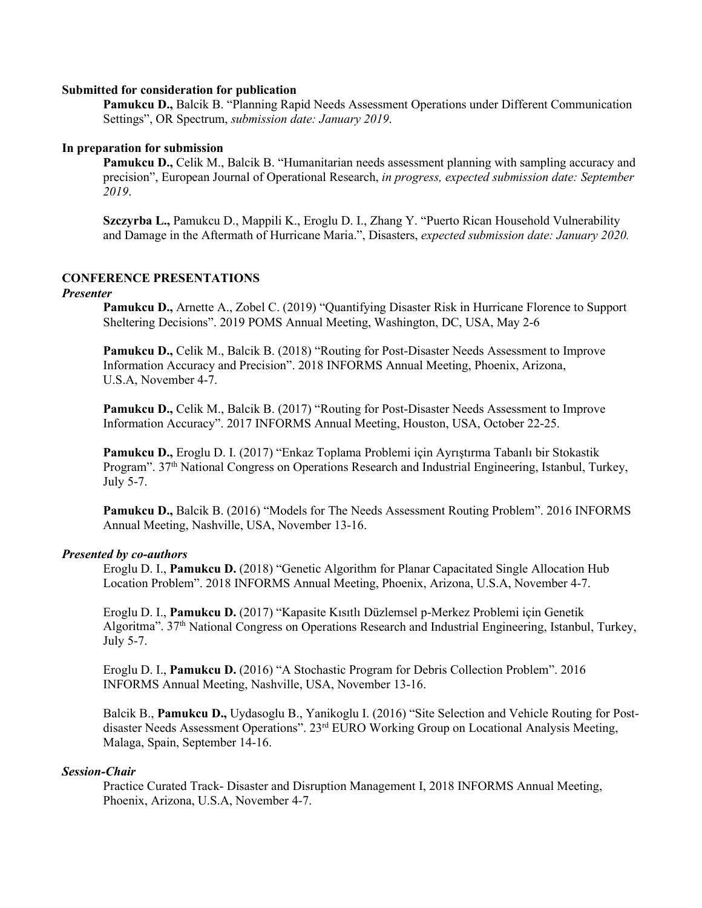#### **Submitted for consideration for publication**

**Pamukcu D.,** Balcik B. "Planning Rapid Needs Assessment Operations under Different Communication Settings", OR Spectrum, *submission date: January 2019*.

### **In preparation for submission**

**Pamukcu D.,** Celik M., Balcik B. "Humanitarian needs assessment planning with sampling accuracy and precision", European Journal of Operational Research, *in progress, expected submission date: September 2019*.

**Szczyrba L.,** Pamukcu D., Mappili K., Eroglu D. I., Zhang Y. "Puerto Rican Household Vulnerability and Damage in the Aftermath of Hurricane Maria.", Disasters, *expected submission date: January 2020.*

# **CONFERENCE PRESENTATIONS**

#### *Presenter*

**Pamukcu D.,** Arnette A., Zobel C. (2019) "Quantifying Disaster Risk in Hurricane Florence to Support Sheltering Decisions". 2019 POMS Annual Meeting, Washington, DC, USA, May 2-6

**Pamukcu D.,** Celik M., Balcik B. (2018) "Routing for Post-Disaster Needs Assessment to Improve Information Accuracy and Precision". 2018 INFORMS Annual Meeting, Phoenix, Arizona, U.S.A, November 4-7.

**Pamukcu D.,** Celik M., Balcik B. (2017) "Routing for Post-Disaster Needs Assessment to Improve Information Accuracy". 2017 INFORMS Annual Meeting, Houston, USA, October 22-25.

**Pamukcu D.,** Eroglu D. I. (2017) "Enkaz Toplama Problemi için Ayrıştırma Tabanlı bir Stokastik Program". 37<sup>th</sup> National Congress on Operations Research and Industrial Engineering, Istanbul, Turkey, July 5-7.

**Pamukcu D.,** Balcik B. (2016) "Models for The Needs Assessment Routing Problem". 2016 INFORMS Annual Meeting, Nashville, USA, November 13-16.

### *Presented by co-authors*

Eroglu D. I., **Pamukcu D.** (2018) "Genetic Algorithm for Planar Capacitated Single Allocation Hub Location Problem". 2018 INFORMS Annual Meeting, Phoenix, Arizona, U.S.A, November 4-7.

Eroglu D. I., **Pamukcu D.** (2017) "Kapasite Kısıtlı Düzlemsel p-Merkez Problemi için Genetik Algoritma". 37th National Congress on Operations Research and Industrial Engineering, Istanbul, Turkey, July 5-7.

Eroglu D. I., **Pamukcu D.** (2016) "A Stochastic Program for Debris Collection Problem". 2016 INFORMS Annual Meeting, Nashville, USA, November 13-16.

Balcik B., **Pamukcu D.,** Uydasoglu B., Yanikoglu I. (2016) "Site Selection and Vehicle Routing for Postdisaster Needs Assessment Operations". 23<sup>rd</sup> EURO Working Group on Locational Analysis Meeting, Malaga, Spain, September 14-16.

### *Session-Chair*

Practice Curated Track- Disaster and Disruption Management I, 2018 INFORMS Annual Meeting, Phoenix, Arizona, U.S.A, November 4-7.